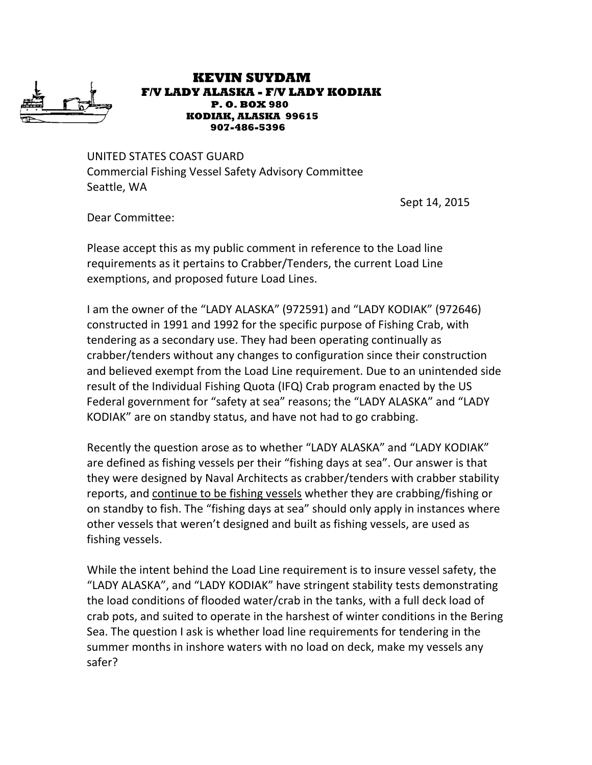

## **KEVIN SUYDAM F/V LADY ALASKA - F/V LADY KODIAK P. O. BOX 980 KODIAK, ALASKA 99615 907-486-5396**

UNITED STATES COAST GUARD Commercial Fishing Vessel Safety Advisory Committee Seattle, WA

Sept 14, 2015

Dear Committee:

Please accept this as my public comment in reference to the Load line requirements as it pertains to Crabber/Tenders, the current Load Line exemptions, and proposed future Load Lines.

I am the owner of the "LADY ALASKA" (972591) and "LADY KODIAK" (972646) constructed in 1991 and 1992 for the specific purpose of Fishing Crab, with tendering as a secondary use. They had been operating continually as crabber/tenders without any changes to configuration since their construction and believed exempt from the Load Line requirement. Due to an unintended side result of the Individual Fishing Quota (IFQ) Crab program enacted by the US Federal government for "safety at sea" reasons; the "LADY ALASKA" and "LADY KODIAK" are on standby status, and have not had to go crabbing.

Recently the question arose as to whether "LADY ALASKA" and "LADY KODIAK" are defined as fishing vessels per their "fishing days at sea". Our answer is that they were designed by Naval Architects as crabber/tenders with crabber stability reports, and continue to be fishing vessels whether they are crabbing/fishing or on standby to fish. The "fishing days at sea" should only apply in instances where other vessels that weren't designed and built as fishing vessels, are used as fishing vessels.

While the intent behind the Load Line requirement is to insure vessel safety, the "LADY ALASKA", and "LADY KODIAK" have stringent stability tests demonstrating the load conditions of flooded water/crab in the tanks, with a full deck load of crab pots, and suited to operate in the harshest of winter conditions in the Bering Sea. The question I ask is whether load line requirements for tendering in the summer months in inshore waters with no load on deck, make my vessels any safer?